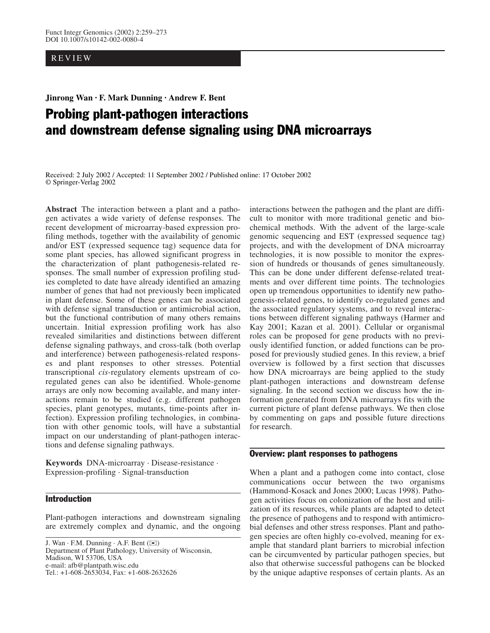## REVIEW

# **Jinrong Wan · F. Mark Dunning · Andrew F. Bent** Probing plant-pathogen interactions and downstream defense signaling using DNA microarrays

Received: 2 July 2002 / Accepted: 11 September 2002 / Published online: 17 October 2002 © Springer-Verlag 2002

**Abstract** The interaction between a plant and a pathogen activates a wide variety of defense responses. The recent development of microarray-based expression profiling methods, together with the availability of genomic and/or EST (expressed sequence tag) sequence data for some plant species, has allowed significant progress in the characterization of plant pathogenesis-related responses. The small number of expression profiling studies completed to date have already identified an amazing number of genes that had not previously been implicated in plant defense. Some of these genes can be associated with defense signal transduction or antimicrobial action, but the functional contribution of many others remains uncertain. Initial expression profiling work has also revealed similarities and distinctions between different defense signaling pathways, and cross-talk (both overlap and interference) between pathogenesis-related responses and plant responses to other stresses. Potential transcriptional *cis*-regulatory elements upstream of coregulated genes can also be identified. Whole-genome arrays are only now becoming available, and many interactions remain to be studied (e.g. different pathogen species, plant genotypes, mutants, time-points after infection). Expression profiling technologies, in combination with other genomic tools, will have a substantial impact on our understanding of plant-pathogen interactions and defense signaling pathways.

**Keywords** DNA-microarray · Disease-resistance · Expression-profiling · Signal-transduction

# Introduction

Plant-pathogen interactions and downstream signaling are extremely complex and dynamic, and the ongoing

J. Wan  $\cdot$  F.M. Dunning  $\cdot$  A.F. Bent ( $\boxtimes$ ) Department of Plant Pathology, University of Wisconsin, Madison, WI 53706, USA e-mail: afb@plantpath.wisc.edu Tel.: +1-608-2653034, Fax: +1-608-2632626

interactions between the pathogen and the plant are difficult to monitor with more traditional genetic and biochemical methods. With the advent of the large-scale genomic sequencing and EST (expressed sequence tag) projects, and with the development of DNA microarray technologies, it is now possible to monitor the expression of hundreds or thousands of genes simultaneously. This can be done under different defense-related treatments and over different time points. The technologies open up tremendous opportunities to identify new pathogenesis-related genes, to identify co-regulated genes and the associated regulatory systems, and to reveal interactions between different signaling pathways (Harmer and Kay 2001; Kazan et al. 2001). Cellular or organismal roles can be proposed for gene products with no previously identified function, or added functions can be proposed for previously studied genes. In this review, a brief overview is followed by a first section that discusses how DNA microarrays are being applied to the study plant-pathogen interactions and downstream defense signaling. In the second section we discuss how the information generated from DNA microarrays fits with the current picture of plant defense pathways. We then close by commenting on gaps and possible future directions for research.

## Overview: plant responses to pathogens

When a plant and a pathogen come into contact, close communications occur between the two organisms (Hammond-Kosack and Jones 2000; Lucas 1998). Pathogen activities focus on colonization of the host and utilization of its resources, while plants are adapted to detect the presence of pathogens and to respond with antimicrobial defenses and other stress responses. Plant and pathogen species are often highly co-evolved, meaning for example that standard plant barriers to microbial infection can be circumvented by particular pathogen species, but also that otherwise successful pathogens can be blocked by the unique adaptive responses of certain plants. As an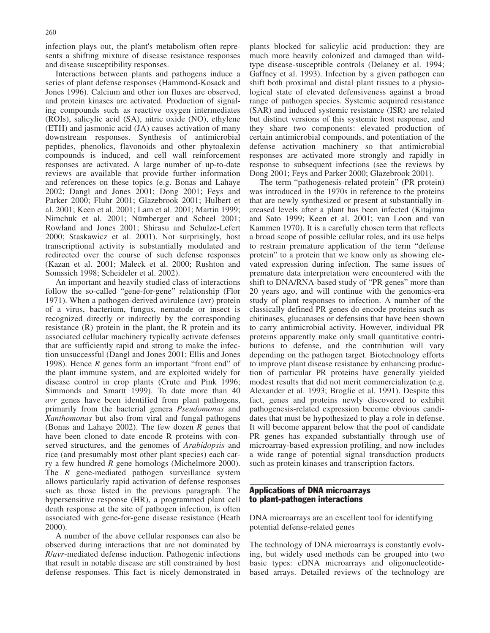infection plays out, the plant's metabolism often represents a shifting mixture of disease resistance responses and disease susceptibility responses.

Interactions between plants and pathogens induce a series of plant defense responses (Hammond-Kosack and Jones 1996). Calcium and other ion fluxes are observed, and protein kinases are activated. Production of signaling compounds such as reactive oxygen intermediates (ROIs), salicylic acid (SA), nitric oxide (NO), ethylene (ETH) and jasmonic acid (JA) causes activation of many downstream responses. Synthesis of antimicrobial peptides, phenolics, flavonoids and other phytoalexin compounds is induced, and cell wall reinforcement responses are activated. A large number of up-to-date reviews are available that provide further information and references on these topics (e.g. Bonas and Lahaye 2002; Dangl and Jones 2001; Dong 2001; Feys and Parker 2000; Fluhr 2001; Glazebrook 2001; Hulbert et al. 2001; Keen et al. 2001; Lam et al. 2001; Martin 1999; Nimchuk et al. 2001; Nümberger and Scheel 2001; Rowland and Jones 2001; Shirasu and Schulze-Lefert 2000; Staskawicz et al. 2001). Not surprisingly, host transcriptional activity is substantially modulated and redirected over the course of such defense responses (Kazan et al. 2001; Maleck et al. 2000; Rushton and Somssich 1998; Scheideler et al. 2002).

An important and heavily studied class of interactions follow the so-called "gene-for-gene" relationship (Flor 1971). When a pathogen-derived avirulence (avr) protein of a virus, bacterium, fungus, nematode or insect is recognized directly or indirectly by the corresponding resistance (R) protein in the plant, the R protein and its associated cellular machinery typically activate defenses that are sufficiently rapid and strong to make the infection unsuccessful (Dangl and Jones 2001; Ellis and Jones 1998). Hence *R* genes form an important "front end" of the plant immune system, and are exploited widely for disease control in crop plants (Crute and Pink 1996; Simmonds and Smartt 1999). To date more than 40 *avr* genes have been identified from plant pathogens, primarily from the bacterial genera *Pseudomonas* and *Xanthomonas* but also from viral and fungal pathogens (Bonas and Lahaye 2002). The few dozen *R* genes that have been cloned to date encode R proteins with conserved structures, and the genomes of *Arabidopsis* and rice (and presumably most other plant species) each carry a few hundred *R* gene homologs (Michelmore 2000). The *R* gene-mediated pathogen surveillance system allows particularly rapid activation of defense responses such as those listed in the previous paragraph. The hypersensitive response (HR), a programmed plant cell death response at the site of pathogen infection, is often associated with gene-for-gene disease resistance (Heath 2000).

A number of the above cellular responses can also be observed during interactions that are not dominated by *R*/*avr*-mediated defense induction. Pathogenic infections that result in notable disease are still constrained by host defense responses. This fact is nicely demonstrated in plants blocked for salicylic acid production: they are much more heavily colonized and damaged than wildtype disease-susceptible controls (Delaney et al. 1994; Gaffney et al. 1993). Infection by a given pathogen can shift both proximal and distal plant tissues to a physiological state of elevated defensiveness against a broad range of pathogen species. Systemic acquired resistance (SAR) and induced systemic resistance (ISR) are related but distinct versions of this systemic host response, and they share two components: elevated production of certain antimicrobial compounds, and potentiation of the defense activation machinery so that antimicrobial responses are activated more strongly and rapidly in response to subsequent infections (see the reviews by Dong 2001; Feys and Parker 2000; Glazebrook 2001).

The term "pathogenesis-related protein" (PR protein) was introduced in the 1970s in reference to the proteins that are newly synthesized or present at substantially increased levels after a plant has been infected (Kitajima and Sato 1999; Keen et al. 2001; van Loon and van Kammen 1970). It is a carefully chosen term that reflects a broad scope of possible cellular roles, and its use helps to restrain premature application of the term "defense protein" to a protein that we know only as showing elevated expression during infection. The same issues of premature data interpretation were encountered with the shift to DNA/RNA-based study of "PR genes" more than 20 years ago, and will continue with the genomics-era study of plant responses to infection. A number of the classically defined PR genes do encode proteins such as chitinases, glucanases or defensins that have been shown to carry antimicrobial activity. However, individual PR proteins apparently make only small quantitative contributions to defense, and the contribution will vary depending on the pathogen target. Biotechnology efforts to improve plant disease resistance by enhancing production of particular PR proteins have generally yielded modest results that did not merit commercialization (e.g. Alexander et al. 1993; Broglie et al. 1991). Despite this fact, genes and proteins newly discovered to exhibit pathogenesis-related expression become obvious candidates that must be hypothesized to play a role in defense. It will become apparent below that the pool of candidate PR genes has expanded substantially through use of microarray-based expression profiling, and now includes a wide range of potential signal transduction products such as protein kinases and transcription factors.

# Applications of DNA microarrays to plant-pathogen interactions

DNA microarrays are an excellent tool for identifying potential defense-related genes

The technology of DNA microarrays is constantly evolving, but widely used methods can be grouped into two basic types: cDNA microarrays and oligonucleotidebased arrays. Detailed reviews of the technology are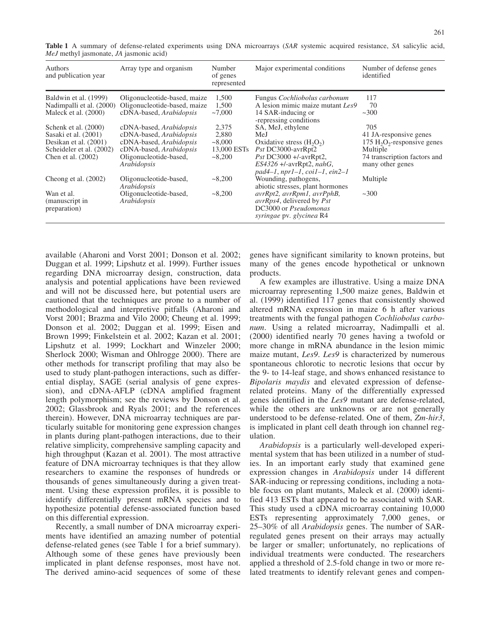| Authors<br>and publication year | Array type and organism               | Number<br>of genes<br>represented | Major experimental conditions                                                                 | Number of defense genes<br>identified |
|---------------------------------|---------------------------------------|-----------------------------------|-----------------------------------------------------------------------------------------------|---------------------------------------|
| Baldwin et al. (1999)           | Oligonucleotide-based, maize          | 1,500                             | Fungus Cochliobolus carbonum                                                                  | 117                                   |
| Nadimpalli et al. (2000)        | Oligonucleotide-based, maize          | 1,500                             | A lesion mimic maize mutant Les9                                                              | 70                                    |
| Maleck et al. (2000)            | cDNA-based, Arabidopsis               | ~1,000                            | 14 SAR-inducing or<br>-repressing conditions                                                  | ~100                                  |
| Schenk et al. (2000)            | cDNA-based, Arabidopsis               | 2.375                             | SA, MeJ, ethylene                                                                             | 705                                   |
| Sasaki et al. (2001)            | cDNA-based, Arabidopsis               | 2,880                             | MeJ                                                                                           | 41 JA-responsive genes                |
| Desikan et al. (2001)           | cDNA-based, Arabidopsis               | ~1000                             | Oxidative stress $(H_2O_2)$                                                                   | 175 $H_2O_2$ -responsive genes        |
| Scheideler et al. (2002)        | cDNA-based, Arabidopsis               | 13,000 ESTs                       | $Pst$ DC3000-avrRpt2                                                                          | Multiple                              |
| Chen et al. (2002)              | Oligonucleotide-based,                | ~18.200                           | $Pst$ DC3000 +/-avrRpt2,                                                                      | 74 transcription factors and          |
|                                 | Arabidopsis                           |                                   | $ES4326 +$ -avrRpt2, nahG,                                                                    | many other genes                      |
|                                 |                                       |                                   | $pad4-1, npr1-1, coil-1, ein2-1$                                                              |                                       |
| Cheong et al. $(2002)$          | Oligonucleotide-based,<br>Arabidopsis | ~28.200                           | Wounding, pathogens,<br>abiotic stresses, plant hormones                                      | Multiple                              |
| Wan et al.                      | Oligonucleotide-based,                | $\sim 8,200$                      | avrRpt2, avrRpm1, avrPphB,                                                                    | ~100                                  |
| (manuscript in<br>preparation)  | Arabidopsis                           |                                   | <i>avrRps4</i> , delivered by <i>Pst</i><br>DC3000 or Pseudomonas<br>syringae pv. glycinea R4 |                                       |

**Table 1** A summary of defense-related experiments using DNA microarrays (*SAR* systemic acquired resistance, *SA* salicylic acid, *MeJ* methyl jasmonate, *JA* jasmonic acid)

available (Aharoni and Vorst 2001; Donson et al. 2002; Duggan et al. 1999; Lipshutz et al. 1999). Further issues regarding DNA microarray design, construction, data analysis and potential applications have been reviewed and will not be discussed here, but potential users are cautioned that the techniques are prone to a number of methodological and interpretive pitfalls (Aharoni and Vorst 2001; Brazma and Vilo 2000; Cheung et al. 1999; Donson et al. 2002; Duggan et al. 1999; Eisen and Brown 1999; Finkelstein et al. 2002; Kazan et al. 2001; Lipshutz et al. 1999; Lockhart and Winzeler 2000; Sherlock 2000; Wisman and Ohlrogge 2000). There are other methods for transcript profiling that may also be used to study plant-pathogen interactions, such as differential display, SAGE (serial analysis of gene expression), and cDNA-AFLP (cDNA amplified fragment length polymorphism; see the reviews by Donson et al. 2002; Glassbrook and Ryals 2001; and the references therein). However, DNA microarray techniques are particularly suitable for monitoring gene expression changes in plants during plant-pathogen interactions, due to their relative simplicity, comprehensive sampling capacity and high throughput (Kazan et al. 2001). The most attractive feature of DNA microarray techniques is that they allow researchers to examine the responses of hundreds or thousands of genes simultaneously during a given treatment. Using these expression profiles, it is possible to identify differentially present mRNA species and to hypothesize potential defense-associated function based on this differential expression.

Recently, a small number of DNA microarray experiments have identified an amazing number of potential defense-related genes (see Table 1 for a brief summary). Although some of these genes have previously been implicated in plant defense responses, most have not. The derived amino-acid sequences of some of these genes have significant similarity to known proteins, but many of the genes encode hypothetical or unknown products.

A few examples are illustrative. Using a maize DNA microarray representing 1,500 maize genes, Baldwin et al. (1999) identified 117 genes that consistently showed altered mRNA expression in maize 6 h after various treatments with the fungal pathogen *Cochliobolus carbonum*. Using a related microarray, Nadimpalli et al. (2000) identified nearly 70 genes having a twofold or more change in mRNA abundance in the lesion mimic maize mutant, *Les9*. *Les9* is characterized by numerous spontaneous chlorotic to necrotic lesions that occur by the 9- to 14-leaf stage, and shows enhanced resistance to *Bipolaris maydis* and elevated expression of defenserelated proteins. Many of the differentially expressed genes identified in the *Les9* mutant are defense-related, while the others are unknowns or are not generally understood to be defense-related. One of them, *Zm-hir3*, is implicated in plant cell death through ion channel regulation.

*Arabidopsis* is a particularly well-developed experimental system that has been utilized in a number of studies. In an important early study that examined gene expression changes in *Arabidopsis* under 14 different SAR-inducing or repressing conditions, including a notable focus on plant mutants, Maleck et al. (2000) identified 413 ESTs that appeared to be associated with SAR. This study used a cDNA microarray containing 10,000 ESTs representing approximately 7,000 genes, or 25–30% of all *Arabidopsis* genes. The number of SARregulated genes present on their arrays may actually be larger or smaller; unfortunately, no replications of individual treatments were conducted. The researchers applied a threshold of 2.5-fold change in two or more related treatments to identify relevant genes and compen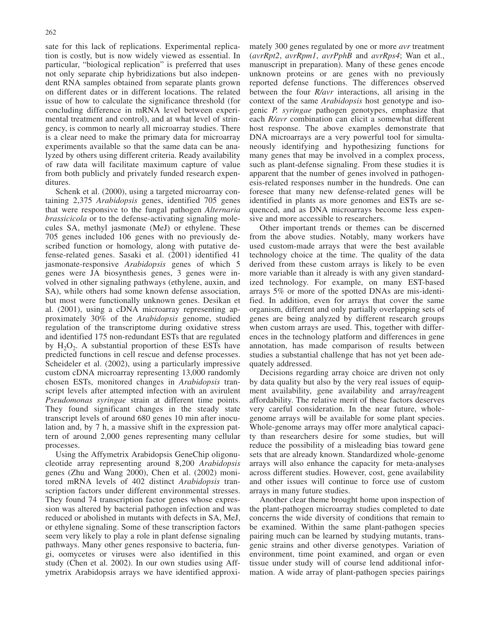sate for this lack of replications. Experimental replication is costly, but is now widely viewed as essential. In particular, "biological replication" is preferred that uses not only separate chip hybridizations but also independent RNA samples obtained from separate plants grown on different dates or in different locations. The related issue of how to calculate the significance threshold (for concluding difference in mRNA level between experimental treatment and control), and at what level of stringency, is common to nearly all microarray studies. There is a clear need to make the primary data for microarray experiments available so that the same data can be analyzed by others using different criteria. Ready availability of raw data will facilitate maximum capture of value from both publicly and privately funded research expenditures.

Schenk et al. (2000), using a targeted microarray containing 2,375 *Arabidopsis* genes, identified 705 genes that were responsive to the fungal pathogen *Alternaria brassicicola* or to the defense-activating signaling molecules SA, methyl jasmonate (MeJ) or ethylene. These 705 genes included 106 genes with no previously described function or homology, along with putative defense-related genes. Sasaki et al. (2001) identified 41 jasmonate-responsive *Arabidopsis* genes of which 5 genes were JA biosynthesis genes, 3 genes were involved in other signaling pathways (ethylene, auxin, and SA), while others had some known defense association, but most were functionally unknown genes. Desikan et al. (2001), using a cDNA microarray representing approximately 30% of the *Arabidopsis* genome, studied regulation of the transcriptome during oxidative stress and identified 175 non-redundant ESTs that are regulated by  $H_2O_2$ . A substantial proportion of these ESTs have predicted functions in cell rescue and defense processes. Scheideler et al. (2002), using a particularly impressive custom cDNA microarray representing 13,000 randomly chosen ESTs, monitored changes in *Arabidopsis* transcript levels after attempted infection with an avirulent *Pseudomonas syringae* strain at different time points. They found significant changes in the steady state transcript levels of around 680 genes 10 min after inoculation and, by 7 h, a massive shift in the expression pattern of around 2,000 genes representing many cellular processes.

Using the Affymetrix Arabidopsis GeneChip oligonucleotide array representing around 8,200 *Arabidopsis* genes (Zhu and Wang 2000), Chen et al. (2002) monitored mRNA levels of 402 distinct *Arabidopsis* transcription factors under different environmental stresses. They found 74 transcription factor genes whose expression was altered by bacterial pathogen infection and was reduced or abolished in mutants with defects in SA, MeJ, or ethylene signaling. Some of these transcription factors seem very likely to play a role in plant defense signaling pathways. Many other genes responsive to bacteria, fungi, oomycetes or viruses were also identified in this study (Chen et al. 2002). In our own studies using Affymetrix Arabidopsis arrays we have identified approximately 300 genes regulated by one or more *avr* treatment (*avrRpt2*, *avrRpm1*, *avrPphB* and *avrRps4*; Wan et al., manuscript in preparation). Many of these genes encode unknown proteins or are genes with no previously reported defense functions. The differences observed between the four *R/avr* interactions, all arising in the context of the same *Arabidopsis* host genotype and isogenic *P. syringae* pathogen genotypes, emphasize that each *R/avr* combination can elicit a somewhat different host response. The above examples demonstrate that DNA microarrays are a very powerful tool for simultaneously identifying and hypothesizing functions for many genes that may be involved in a complex process, such as plant-defense signaling. From these studies it is apparent that the number of genes involved in pathogenesis-related responses number in the hundreds. One can foresee that many new defense-related genes will be identified in plants as more genomes and ESTs are sequenced, and as DNA microarrays become less expensive and more accessible to researchers.

Other important trends or themes can be discerned from the above studies. Notably, many workers have used custom-made arrays that were the best available technology choice at the time. The quality of the data derived from these custom arrays is likely to be even more variable than it already is with any given standardized technology. For example, on many EST-based arrays 5% or more of the spotted DNAs are mis-identified. In addition, even for arrays that cover the same organism, different and only partially overlapping sets of genes are being analyzed by different research groups when custom arrays are used. This, together with differences in the technology platform and differences in gene annotation, has made comparison of results between studies a substantial challenge that has not yet been adequately addressed.

Decisions regarding array choice are driven not only by data quality but also by the very real issues of equipment availability, gene availability and array/reagent affordability. The relative merit of these factors deserves very careful consideration. In the near future, wholegenome arrays will be available for some plant species. Whole-genome arrays may offer more analytical capacity than researchers desire for some studies, but will reduce the possibility of a misleading bias toward gene sets that are already known. Standardized whole-genome arrays will also enhance the capacity for meta-analyses across different studies. However, cost, gene availability and other issues will continue to force use of custom arrays in many future studies.

Another clear theme brought home upon inspection of the plant-pathogen microarray studies completed to date concerns the wide diversity of conditions that remain to be examined. Within the same plant-pathogen species pairing much can be learned by studying mutants, transgenic strains and other diverse genotypes. Variation of environment, time point examined, and organ or even tissue under study will of course lend additional information. A wide array of plant-pathogen species pairings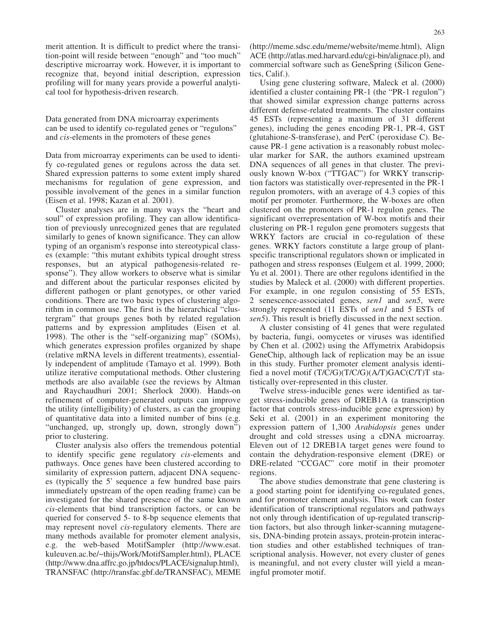merit attention. It is difficult to predict where the transition-point will reside between "enough" and "too much" descriptive microarray work. However, it is important to recognize that, beyond initial description, expression profiling will for many years provide a powerful analytical tool for hypothesis-driven research.

Data generated from DNA microarray experiments can be used to identify co-regulated genes or "regulons" and *cis*-elements in the promoters of these genes

Data from microarray experiments can be used to identify co-regulated genes or regulons across the data set. Shared expression patterns to some extent imply shared mechanisms for regulation of gene expression, and possible involvement of the genes in a similar function (Eisen et al. 1998; Kazan et al. 2001).

Cluster analyses are in many ways the "heart and soul" of expression profiling. They can allow identification of previously unrecognized genes that are regulated similarly to genes of known significance. They can allow typing of an organism's response into stereotypical classes (example: "this mutant exhibits typical drought stress responses, but an atypical pathogenesis-related response"). They allow workers to observe what is similar and different about the particular responses elicited by different pathogen or plant genotypes, or other varied conditions. There are two basic types of clustering algorithm in common use. The first is the hierarchical "clustergram" that groups genes both by related regulation patterns and by expression amplitudes (Eisen et al. 1998). The other is the "self-organizing map" (SOMs), which generates expression profiles organized by shape (relative mRNA levels in different treatments), essentially independent of amplitude (Tamayo et al. 1999). Both utilize iterative computational methods. Other clustering methods are also available (see the reviews by Altman and Raychaudhuri 2001; Sherlock 2000). Hands-on refinement of computer-generated outputs can improve the utility (intelligibility) of clusters, as can the grouping of quantitative data into a limited number of bins (e.g. "unchanged, up, strongly up, down, strongly down") prior to clustering.

Cluster analysis also offers the tremendous potential to identify specific gene regulatory *cis*-elements and pathways. Once genes have been clustered according to similarity of expression pattern, adjacent DNA sequences (typically the 5' sequence a few hundred base pairs immediately upstream of the open reading frame) can be investigated for the shared presence of the same known *cis*-elements that bind transcription factors, or can be queried for conserved 5- to 8-bp sequence elements that may represent novel *cis*-regulatory elements. There are many methods available for promoter element analysis, e.g. the web-based MotifSampler (http://www.esat. kuleuven.ac.be/~thijs/Work/MotifSampler.html), PLACE (http://www.dna.affrc.go.jp/htdocs/PLACE/signalup.html), TRANSFAC (http://transfac.gbf.de/TRANSFAC), MEME

(http://meme.sdsc.edu/meme/website/meme.html), Align ACE (http://atlas.med.harvard.edu/cgi-bin/alignace.pl), and commercial software such as GeneSpring (Silicon Genetics, Calif.).

Using gene clustering software, Maleck et al. (2000) identified a cluster containing PR-1 (the "PR-1 regulon") that showed similar expression change patterns across different defense-related treatments. The cluster contains 45 ESTs (representing a maximum of 31 different genes), including the genes encoding PR-1, PR-4, GST (glutahione-S-transferase), and PerC (peroxidase C). Because PR-1 gene activation is a reasonably robust molecular marker for SAR, the authors examined upstream DNA sequences of all genes in that cluster. The previously known W-box ("TTGAC") for WRKY transcription factors was statistically over-represented in the PR-1 regulon promoters, with an average of 4.3 copies of this motif per promoter. Furthermore, the W-boxes are often clustered on the promoters of PR-1 regulon genes. The significant overrepresentation of W-box motifs and their clustering on PR-1 regulon gene promoters suggests that WRKY factors are crucial in co-regulation of these genes. WRKY factors constitute a large group of plantspecific transcriptional regulators shown or implicated in pathogen and stress responses (Eulgem et al. 1999, 2000; Yu et al. 2001). There are other regulons identified in the studies by Maleck et al. (2000) with different properties. For example, in one regulon consisting of 55 ESTs, 2 senescence-associated genes, *sen1* and *sen5*, were strongly represented (11 ESTs of *sen1* and 5 ESTs of *sen5*). This result is briefly discussed in the next section.

A cluster consisting of 41 genes that were regulated by bacteria, fungi, oomycetes or viruses was identified by Chen et al. (2002) using the Affymetrix Arabidopsis GeneChip, although lack of replication may be an issue in this study. Further promoter element analysis identified a novel motif (T/C/G)(T/C/G)(A/T)GAC(C/T)T statistically over-represented in this cluster.

Twelve stress-inducible genes were identified as target stress-inducible genes of DREB1A (a transcription factor that controls stress-inducible gene expression) by Seki et al. (2001) in an experiment monitoring the expression pattern of 1,300 *Arabidopsis* genes under drought and cold stresses using a cDNA microarray. Eleven out of 12 DREB1A target genes were found to contain the dehydration-responsive element (DRE) or DRE-related "CCGAC" core motif in their promoter regions.

The above studies demonstrate that gene clustering is a good starting point for identifying co-regulated genes, and for promoter element analysis. This work can foster identification of transcriptional regulators and pathways not only through identification of up-regulated transcription factors, but also through linker-scanning mutagenesis, DNA-binding protein assays, protein-protein interaction studies and other established techniques of transcriptional analysis. However, not every cluster of genes is meaningful, and not every cluster will yield a meaningful promoter motif.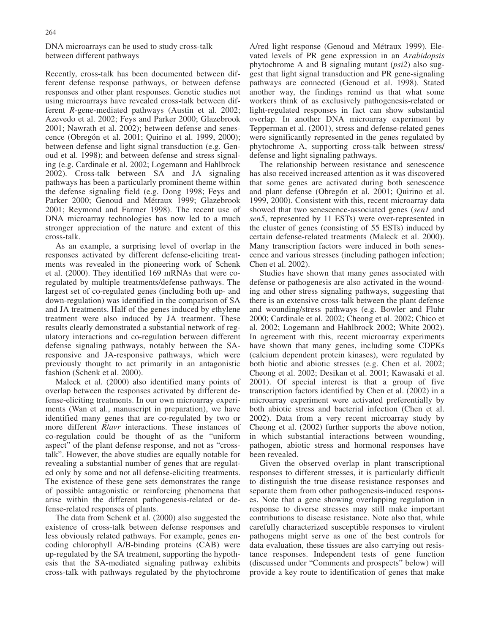DNA microarrays can be used to study cross-talk between different pathways

Recently, cross-talk has been documented between different defense response pathways, or between defense responses and other plant responses. Genetic studies not using microarrays have revealed cross-talk between different *R*-gene-mediated pathways (Austin et al. 2002; Azevedo et al. 2002; Feys and Parker 2000; Glazebrook 2001; Nawrath et al. 2002); between defense and senescence (Obregón et al. 2001; Quirino et al. 1999, 2000); between defense and light signal transduction (e.g. Genoud et al. 1998); and between defense and stress signaling (e.g. Cardinale et al. 2002; Logemann and Hahlbrock 2002). Cross-talk between SA and JA signaling pathways has been a particularly prominent theme within the defense signaling field (e.g. Dong 1998; Feys and Parker 2000; Genoud and Métraux 1999; Glazebrook 2001; Reymond and Farmer 1998). The recent use of DNA microarray technologies has now led to a much stronger appreciation of the nature and extent of this cross-talk.

As an example, a surprising level of overlap in the responses activated by different defense-eliciting treatments was revealed in the pioneering work of Schenk et al. (2000). They identified 169 mRNAs that were coregulated by multiple treatments/defense pathways. The largest set of co-regulated genes (including both up- and down-regulation) was identified in the comparison of SA and JA treatments. Half of the genes induced by ethylene treatment were also induced by JA treatment. These results clearly demonstrated a substantial network of regulatory interactions and co-regulation between different defense signaling pathways, notably between the SAresponsive and JA-responsive pathways, which were previously thought to act primarily in an antagonistic fashion (Schenk et al. 2000).

Maleck et al. (2000) also identified many points of overlap between the responses activated by different defense-eliciting treatments. In our own microarray experiments (Wan et al., manuscript in preparation), we have identified many genes that are co-regulated by two or more different *R*/*avr* interactions. These instances of co-regulation could be thought of as the "uniform aspect" of the plant defense response, and not as "crosstalk". However, the above studies are equally notable for revealing a substantial number of genes that are regulated only by some and not all defense-eliciting treatments. The existence of these gene sets demonstrates the range of possible antagonistic or reinforcing phenomena that arise within the different pathogenesis-related or defense-related responses of plants.

The data from Schenk et al. (2000) also suggested the existence of cross-talk between defense responses and less obviously related pathways. For example, genes encoding chlorophyll A/B-binding proteins (CAB) were up-regulated by the SA treatment, supporting the hypothesis that the SA-mediated signaling pathway exhibits cross-talk with pathways regulated by the phytochrome

A/red light response (Genoud and Métraux 1999). Elevated levels of PR gene expression in an *Arabidopsis* phytochrome A and B signaling mutant (*psi2*) also suggest that light signal transduction and PR gene-signaling pathways are connected (Genoud et al. 1998). Stated another way, the findings remind us that what some workers think of as exclusively pathogenesis-related or light-regulated responses in fact can show substantial overlap. In another DNA microarray experiment by Tepperman et al. (2001), stress and defense-related genes were significantly represented in the genes regulated by phytochrome A, supporting cross-talk between stress/ defense and light signaling pathways.

The relationship between resistance and senescence has also received increased attention as it was discovered that some genes are activated during both senescence and plant defense (Obregón et al. 2001; Quirino et al. 1999, 2000). Consistent with this, recent microarray data showed that two senescence-associated genes (*sen1* and *sen5*, represented by 11 ESTs) were over-represented in the cluster of genes (consisting of 55 ESTs) induced by certain defense-related treatments (Maleck et al. 2000). Many transcription factors were induced in both senescence and various stresses (including pathogen infection; Chen et al. 2002).

Studies have shown that many genes associated with defense or pathogenesis are also activated in the wounding and other stress signaling pathways, suggesting that there is an extensive cross-talk between the plant defense and wounding/stress pathways (e.g. Bowler and Fluhr 2000; Cardinale et al. 2002; Cheong et al. 2002; Chico et al. 2002; Logemann and Hahlbrock 2002; White 2002). In agreement with this, recent microarray experiments have shown that many genes, including some CDPKs (calcium dependent protein kinases), were regulated by both biotic and abiotic stresses (e.g. Chen et al. 2002; Cheong et al. 2002; Desikan et al. 2001; Kawasaki et al. 2001). Of special interest is that a group of five transcription factors identified by Chen et al. (2002) in a microarray experiment were activated preferentially by both abiotic stress and bacterial infection (Chen et al. 2002). Data from a very recent microarray study by Cheong et al. (2002) further supports the above notion, in which substantial interactions between wounding, pathogen, abiotic stress and hormonal responses have been revealed.

Given the observed overlap in plant transcriptional responses to different stresses, it is particularly difficult to distinguish the true disease resistance responses and separate them from other pathogenesis-induced responses. Note that a gene showing overlapping regulation in response to diverse stresses may still make important contributions to disease resistance. Note also that, while carefully characterized susceptible responses to virulent pathogens might serve as one of the best controls for data evaluation, these tissues are also carrying out resistance responses. Independent tests of gene function (discussed under "Comments and prospects" below) will provide a key route to identification of genes that make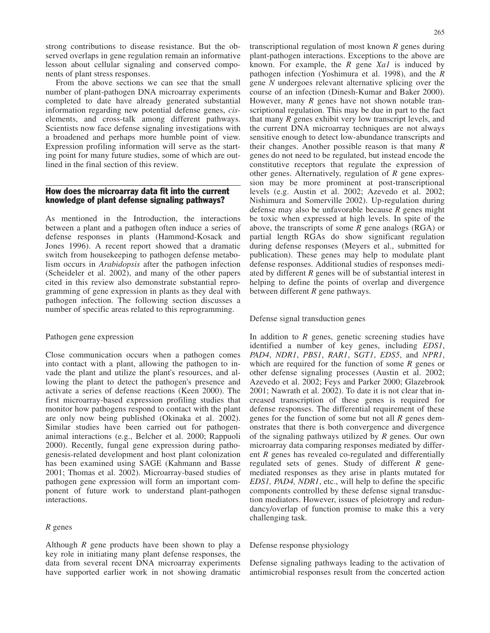strong contributions to disease resistance. But the observed overlaps in gene regulation remain an informative lesson about cellular signaling and conserved components of plant stress responses.

From the above sections we can see that the small number of plant-pathogen DNA microarray experiments completed to date have already generated substantial information regarding new potential defense genes, *cis*elements, and cross-talk among different pathways. Scientists now face defense signaling investigations with a broadened and perhaps more humble point of view. Expression profiling information will serve as the starting point for many future studies, some of which are outlined in the final section of this review.

## How does the microarray data fit into the current knowledge of plant defense signaling pathways?

As mentioned in the Introduction, the interactions between a plant and a pathogen often induce a series of defense responses in plants (Hammond-Kosack and Jones 1996). A recent report showed that a dramatic switch from housekeeping to pathogen defense metabolism occurs in *Arabidopsis* after the pathogen infection (Scheideler et al. 2002), and many of the other papers cited in this review also demonstrate substantial reprogramming of gene expression in plants as they deal with pathogen infection. The following section discusses a number of specific areas related to this reprogramming.

#### Pathogen gene expression

Close communication occurs when a pathogen comes into contact with a plant, allowing the pathogen to invade the plant and utilize the plant's resources, and allowing the plant to detect the pathogen's presence and activate a series of defense reactions (Keen 2000). The first microarray-based expression profiling studies that monitor how pathogens respond to contact with the plant are only now being published (Okinaka et al. 2002). Similar studies have been carried out for pathogenanimal interactions (e.g., Belcher et al. 2000; Rappuoli 2000). Recently, fungal gene expression during pathogenesis-related development and host plant colonization has been examined using SAGE (Kahmann and Basse 2001; Thomas et al. 2002). Microarray-based studies of pathogen gene expression will form an important component of future work to understand plant-pathogen interactions.

## *R* genes

Although *R* gene products have been shown to play a key role in initiating many plant defense responses, the data from several recent DNA microarray experiments have supported earlier work in not showing dramatic

transcriptional regulation of most known *R* genes during plant-pathogen interactions. Exceptions to the above are known. For example, the *R* gene *Xa1* is induced by pathogen infection (Yoshimura et al. 1998), and the *R* gene *N* undergoes relevant alternative splicing over the course of an infection (Dinesh-Kumar and Baker 2000). However, many *R* genes have not shown notable transcriptional regulation. This may be due in part to the fact that many *R* genes exhibit very low transcript levels, and the current DNA microarray techniques are not always sensitive enough to detect low-abundance transcripts and their changes. Another possible reason is that many *R* genes do not need to be regulated, but instead encode the constitutive receptors that regulate the expression of other genes. Alternatively, regulation of *R* gene expression may be more prominent at post-transcriptional levels (e.g. Austin et al. 2002; Azevedo et al. 2002; Nishimura and Somerville 2002). Up-regulation during defense may also be unfavorable because *R* genes might be toxic when expressed at high levels. In spite of the above, the transcripts of some *R* gene analogs (RGA) or partial length RGAs do show significant regulation during defense responses (Meyers et al., submitted for publication). These genes may help to modulate plant defense responses. Additional studies of responses mediated by different *R* genes will be of substantial interest in helping to define the points of overlap and divergence between different *R* gene pathways.

#### Defense signal transduction genes

In addition to *R* genes, genetic screening studies have identified a number of key genes, including *EDS1*, *PAD4*, *NDR1*, *PBS1*, *RAR1*, S*GT1*, *EDS5*, and *NPR1*, which are required for the function of some *R* genes or other defense signaling processes (Austin et al. 2002; Azevedo et al. 2002; Feys and Parker 2000; Glazebrook 2001; Nawrath et al. 2002). To date it is not clear that increased transcription of these genes is required for defense responses. The differential requirement of these genes for the function of some but not all *R* genes demonstrates that there is both convergence and divergence of the signaling pathways utilized by *R* genes. Our own microarray data comparing responses mediated by different *R* genes has revealed co-regulated and differentially regulated sets of genes. Study of different *R* genemediated responses as they arise in plants mutated for *EDS1, PAD4, NDR1*, etc., will help to define the specific components controlled by these defense signal transduction mediators. However, issues of pleiotropy and redundancy/overlap of function promise to make this a very challenging task.

#### Defense response physiology

Defense signaling pathways leading to the activation of antimicrobial responses result from the concerted action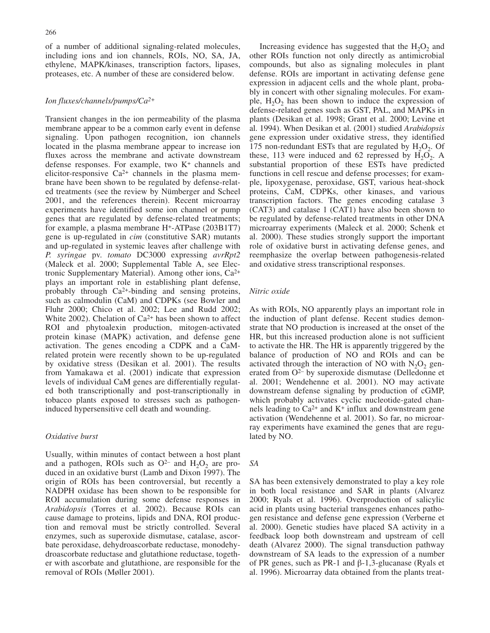of a number of additional signaling-related molecules, including ions and ion channels, ROIs, NO, SA, JA, ethylene, MAPK/kinases, transcription factors, lipases, proteases, etc. A number of these are considered below.

# *Ion fluxes/channels/pumps/Ca2+*

Transient changes in the ion permeability of the plasma membrane appear to be a common early event in defense signaling. Upon pathogen recognition, ion channels located in the plasma membrane appear to increase ion fluxes across the membrane and activate downstream defense responses. For example, two  $K^+$  channels and elicitor-responsive  $Ca^{2+}$  channels in the plasma membrane have been shown to be regulated by defense-related treatments (see the review by Nümberger and Scheel 2001, and the references therein). Recent microarray experiments have identified some ion channel or pump genes that are regulated by defense-related treatments; for example, a plasma membrane H+-ATPase (203B1T7) gene is up-regulated in *cim* (constitutive SAR) mutants and up-regulated in systemic leaves after challenge with *P. syringae* pv. *tomato* DC3000 expressing *avrRpt2* (Maleck et al. 2000; Supplemental Table A, see Electronic Supplementary Material). Among other ions, Ca2+ plays an important role in establishing plant defense, probably through Ca2+-binding and sensing proteins, such as calmodulin (CaM) and CDPKs (see Bowler and Fluhr 2000; Chico et al. 2002; Lee and Rudd 2002; White 2002). Chelation of  $Ca^{2+}$  has been shown to affect ROI and phytoalexin production, mitogen-activated protein kinase (MAPK) activation, and defense gene activation. The genes encoding a CDPK and a CaMrelated protein were recently shown to be up-regulated by oxidative stress (Desikan et al. 2001). The results from Yamakawa et al. (2001) indicate that expression levels of individual CaM genes are differentially regulated both transcriptionally and post-transcriptionally in tobacco plants exposed to stresses such as pathogeninduced hypersensitive cell death and wounding.

## *Oxidative burst*

Usually, within minutes of contact between a host plant and a pathogen, ROIs such as  $O^{2-}$  and  $H_2O_2$  are produced in an oxidative burst (Lamb and Dixon 1997). The origin of ROIs has been controversial, but recently a NADPH oxidase has been shown to be responsible for ROI accumulation during some defense responses in *Arabidopsis* (Torres et al. 2002). Because ROIs can cause damage to proteins, lipids and DNA, ROI production and removal must be strictly controlled. Several enzymes, such as superoxide dismutase, catalase, ascorbate peroxidase, dehydroascorbate reductase, monodehydroascorbate reductase and glutathione reductase, together with ascorbate and glutathione, are responsible for the removal of ROIs (Møller 2001).

Increasing evidence has suggested that the  $H_2O_2$  and other ROIs function not only directly as antimicrobial compounds, but also as signaling molecules in plant defense. ROIs are important in activating defense gene expression in adjacent cells and the whole plant, probably in concert with other signaling molecules. For example,  $H_2O_2$  has been shown to induce the expression of defense-related genes such as GST, PAL, and MAPKs in plants (Desikan et al. 1998; Grant et al. 2000; Levine et al. 1994). When Desikan et al. (2001) studied *Arabidopsis* gene expression under oxidative stress, they identified 175 non-redundant ESTs that are regulated by  $H_2O_2$ . Of these, 113 were induced and 62 repressed by  $H_2O_2$ . A substantial proportion of these ESTs have predicted functions in cell rescue and defense processes; for example, lipoxygenase, peroxidase, GST, various heat-shock proteins, CaM, CDPKs, other kinases, and various transcription factors. The genes encoding catalase 3 (CAT3) and catalase 1 (CAT1) have also been shown to be regulated by defense-related treatments in other DNA microarray experiments (Maleck et al. 2000; Schenk et al. 2000). These studies strongly support the important role of oxidative burst in activating defense genes, and reemphasize the overlap between pathogenesis-related and oxidative stress transcriptional responses.

#### *Nitric oxide*

As with ROIs, NO apparently plays an important role in the induction of plant defense. Recent studies demonstrate that NO production is increased at the onset of the HR, but this increased production alone is not sufficient to activate the HR. The HR is apparently triggered by the balance of production of NO and ROIs and can be activated through the interaction of NO with  $N_2O_2$  generated from O2– by superoxide dismutase (Delledonne et al. 2001; Wendehenne et al. 2001). NO may activate downstream defense signaling by production of cGMP, which probably activates cyclic nucleotide-gated channels leading to  $Ca^{2+}$  and  $K^+$  influx and downstream gene activation (Wendehenne et al. 2001). So far, no microarray experiments have examined the genes that are regulated by NO.

#### *SA*

SA has been extensively demonstrated to play a key role in both local resistance and SAR in plants (Alvarez 2000; Ryals et al. 1996). Overproduction of salicylic acid in plants using bacterial transgenes enhances pathogen resistance and defense gene expression (Verberne et al. 2000). Genetic studies have placed SA activity in a feedback loop both downstream and upstream of cell death (Alvarez 2000). The signal transduction pathway downstream of SA leads to the expression of a number of PR genes, such as PR-1 and  $\beta$ -1,3-glucanase (Ryals et al. 1996). Microarray data obtained from the plants treat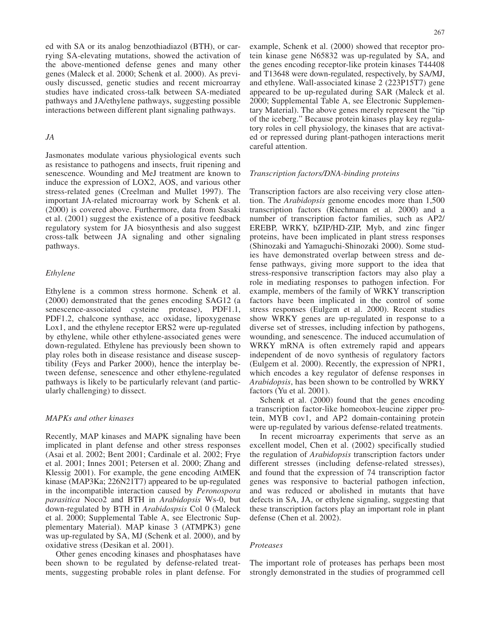ed with SA or its analog benzothiadiazol (BTH), or carrying SA-elevating mutations, showed the activation of the above-mentioned defense genes and many other genes (Maleck et al. 2000; Schenk et al. 2000). As previously discussed, genetic studies and recent microarray studies have indicated cross-talk between SA-mediated pathways and JA/ethylene pathways, suggesting possible interactions between different plant signaling pathways.

## *JA*

Jasmonates modulate various physiological events such as resistance to pathogens and insects, fruit ripening and senescence. Wounding and MeJ treatment are known to induce the expression of LOX2, AOS, and various other stress-related genes (Creelman and Mullet 1997). The important JA-related microarray work by Schenk et al. (2000) is covered above. Furthermore, data from Sasaki et al. (2001) suggest the existence of a positive feedback regulatory system for JA biosynthesis and also suggest cross-talk between JA signaling and other signaling pathways.

#### *Ethylene*

Ethylene is a common stress hormone. Schenk et al. (2000) demonstrated that the genes encoding SAG12 (a senescence-associated cysteine protease), PDF1.1, PDF1.2, chalcone synthase, acc oxidase, lipoxygenase Lox1, and the ethylene receptor ERS2 were up-regulated by ethylene, while other ethylene-associated genes were down-regulated. Ethylene has previously been shown to play roles both in disease resistance and disease susceptibility (Feys and Parker 2000), hence the interplay between defense, senescence and other ethylene-regulated pathways is likely to be particularly relevant (and particularly challenging) to dissect.

## *MAPKs and other kinases*

Recently, MAP kinases and MAPK signaling have been implicated in plant defense and other stress responses (Asai et al. 2002; Bent 2001; Cardinale et al. 2002; Frye et al. 2001; Innes 2001; Petersen et al. 2000; Zhang and Klessig 2001). For example, the gene encoding AtMEK kinase (MAP3Ka; 226N21T7) appeared to be up-regulated in the incompatible interaction caused by *Peronospora parasitica* Noco2 and BTH in *Arabidopsis* Ws-0, but down-regulated by BTH in *Arabidospsis* Col 0 (Maleck et al. 2000; Supplemental Table A, see Electronic Supplementary Material). MAP kinase 3 (ATMPK3) gene was up-regulated by SA, MJ (Schenk et al. 2000), and by oxidative stress (Desikan et al. 2001).

Other genes encoding kinases and phosphatases have been shown to be regulated by defense-related treatments, suggesting probable roles in plant defense. For example, Schenk et al. (2000) showed that receptor protein kinase gene N65832 was up-regulated by SA, and the genes encoding receptor-like protein kinases T44408 and T13648 were down-regulated, respectively, by SA/MJ, and ethylene. Wall-associated kinase 2 (223P15T7) gene appeared to be up-regulated during SAR (Maleck et al. 2000; Supplemental Table A, see Electronic Supplementary Material). The above genes merely represent the "tip of the iceberg." Because protein kinases play key regulatory roles in cell physiology, the kinases that are activated or repressed during plant-pathogen interactions merit careful attention.

## *Transcription factors/DNA-binding proteins*

Transcription factors are also receiving very close attention. The *Arabidopsis* genome encodes more than 1,500 transcription factors (Riechmann et al. 2000) and a number of transcription factor families, such as AP2/ EREBP, WRKY, bZIP/HD-ZIP, Myb, and zinc finger proteins, have been implicated in plant stress responses (Shinozaki and Yamaguchi-Shinozaki 2000). Some studies have demonstrated overlap between stress and defense pathways, giving more support to the idea that stress-responsive transcription factors may also play a role in mediating responses to pathogen infection. For example, members of the family of WRKY transcription factors have been implicated in the control of some stress responses (Eulgem et al. 2000). Recent studies show WRKY genes are up-regulated in response to a diverse set of stresses, including infection by pathogens, wounding, and senescence. The induced accumulation of WRKY mRNA is often extremely rapid and appears independent of de novo synthesis of regulatory factors (Eulgem et al. 2000). Recently, the expression of NPR1, which encodes a key regulator of defense responses in *Arabidopsis*, has been shown to be controlled by WRKY factors (Yu et al. 2001).

Schenk et al. (2000) found that the genes encoding a transcription factor-like homeobox-leucine zipper protein, MYB cov1, and AP2 domain-containing protein were up-regulated by various defense-related treatments.

In recent microarray experiments that serve as an excellent model, Chen et al. (2002) specifically studied the regulation of *Arabidopsis* transcription factors under different stresses (including defense-related stresses), and found that the expression of 74 transcription factor genes was responsive to bacterial pathogen infection, and was reduced or abolished in mutants that have defects in SA, JA, or ethylene signaling, suggesting that these transcription factors play an important role in plant defense (Chen et al. 2002).

#### *Proteases*

The important role of proteases has perhaps been most strongly demonstrated in the studies of programmed cell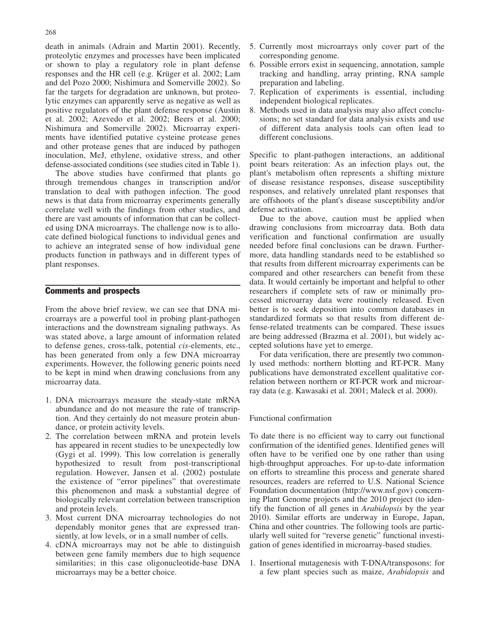death in animals (Adrain and Martin 2001). Recently, proteolytic enzymes and processes have been implicated or shown to play a regulatory role in plant defense responses and the HR cell (e.g. Krüger et al. 2002; Lam and del Pozo 2000; Nishimura and Somerville 2002). So far the targets for degradation are unknown, but proteolytic enzymes can apparently serve as negative as well as positive regulators of the plant defense response (Austin et al. 2002; Azevedo et al. 2002; Beers et al. 2000; Nishimura and Somerville 2002). Microarray experiments have identified putative cysteine protease genes and other protease genes that are induced by pathogen inoculation, MeJ, ethylene, oxidative stress, and other defense-associated conditions (see studies cited in Table 1).

The above studies have confirmed that plants go through tremendous changes in transcription and/or translation to deal with pathogen infection. The good news is that data from microarray experiments generally correlate well with the findings from other studies, and there are vast amounts of information that can be collected using DNA microarrays. The challenge now is to allocate defined biological functions to individual genes and to achieve an integrated sense of how individual gene products function in pathways and in different types of plant responses.

# Comments and prospects

From the above brief review, we can see that DNA microarrays are a powerful tool in probing plant-pathogen interactions and the downstream signaling pathways. As was stated above, a large amount of information related to defense genes, cross-talk, potential *cis*-elements, etc., has been generated from only a few DNA microarray experiments. However, the following generic points need to be kept in mind when drawing conclusions from any microarray data.

- 1. DNA microarrays measure the steady-state mRNA abundance and do not measure the rate of transcription. And they certainly do not measure protein abundance, or protein activity levels.
- 2. The correlation between mRNA and protein levels has appeared in recent studies to be unexpectedly low (Gygi et al. 1999). This low correlation is generally hypothesized to result from post-transcriptional regulation. However, Jansen et al. (2002) postulate the existence of "error pipelines" that overestimate this phenomenon and mask a substantial degree of biologically relevant correlation between transcription and protein levels.
- 3. Most current DNA microarray technologies do not dependably monitor genes that are expressed transiently, at low levels, or in a small number of cells.
- 4. cDNA microarrays may not be able to distinguish between gene family members due to high sequence similarities; in this case oligonucleotide-base DNA microarrays may be a better choice.
- 5. Currently most microarrays only cover part of the corresponding genome.
- 6. Possible errors exist in sequencing, annotation, sample tracking and handling, array printing, RNA sample preparation and labeling.
- 7. Replication of experiments is essential, including independent biological replicates.
- 8. Methods used in data analysis may also affect conclusions; no set standard for data analysis exists and use of different data analysis tools can often lead to different conclusions.

Specific to plant-pathogen interactions, an additional point bears reiteration: As an infection plays out, the plant's metabolism often represents a shifting mixture of disease resistance responses, disease susceptibility responses, and relatively unrelated plant responses that are offshoots of the plant's disease susceptibility and/or defense activation.

Due to the above, caution must be applied when drawing conclusions from microarray data. Both data verification and functional confirmation are usually needed before final conclusions can be drawn. Furthermore, data handling standards need to be established so that results from different microarray experiments can be compared and other researchers can benefit from these data. It would certainly be important and helpful to other researchers if complete sets of raw or minimally processed microarray data were routinely released. Even better is to seek deposition into common databases in standardized formats so that results from different defense-related treatments can be compared. These issues are being addressed (Brazma et al. 2001), but widely accepted solutions have yet to emerge.

For data verification, there are presently two commonly used methods: northern blotting and RT-PCR. Many publications have demonstrated excellent qualitative correlation between northern or RT-PCR work and microarray data (e.g. Kawasaki et al. 2001; Maleck et al. 2000).

#### Functional confirmation

To date there is no efficient way to carry out functional confirmation of the identified genes. Identified genes will often have to be verified one by one rather than using high-throughput approaches. For up-to-date information on efforts to streamline this process and generate shared resources, readers are referred to U.S. National Science Foundation documentation (http://www.nsf.gov) concerning Plant Genome projects and the 2010 project (to identify the function of all genes in *Arabidopsis* by the year 2010). Similar efforts are underway in Europe, Japan, China and other countries. The following tools are particularly well suited for "reverse genetic" functional investigation of genes identified in microarray-based studies.

1. Insertional mutagenesis with T-DNA/transposons: for a few plant species such as maize, *Arabidopsis* and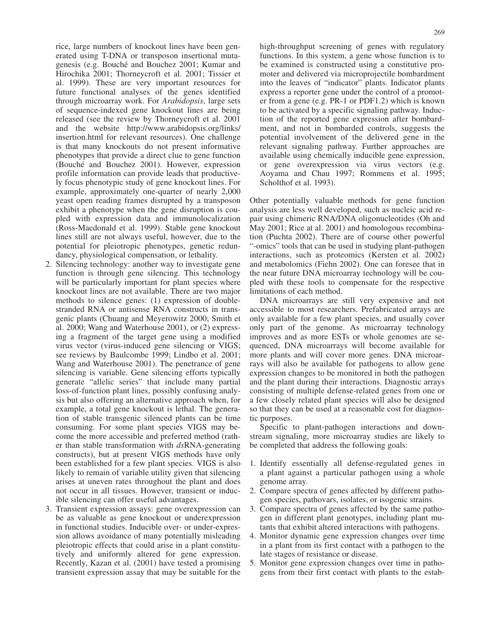rice, large numbers of knockout lines have been generated using T-DNA or transposon insertional mutagenesis (e.g. Bouché and Bouchez 2001; Kumar and Hirochika 2001; Thorneycroft et al. 2001; Tissier et al. 1999). These are very important resources for future functional analyses of the genes identified through microarray work. For *Arabidopsis*, large sets of sequence-indexed gene knockout lines are being released (see the review by Thorneycroft et al. 2001 and the website http://www.arabidopsis.org/links/ insertion.html for relevant resources). One challenge is that many knockouts do not present informative phenotypes that provide a direct clue to gene function (Bouché and Bouchez 2001). However, expression profile information can provide leads that productively focus phenotypic study of gene knockout lines. For example, approximately one-quarter of nearly 2,000 yeast open reading frames disrupted by a transposon exhibit a phenotype when the gene disruption is coupled with expression data and immunolocalization (Ross-Macdonald et al. 1999). Stable gene knockout lines still are not always useful, however, due to the potential for pleiotropic phenotypes, genetic redundancy, physiological compensation, or lethality.

- 2. Silencing technology: another way to investigate gene function is through gene silencing. This technology will be particularly important for plant species where knockout lines are not available. There are two major methods to silence genes: (1) expression of doublestranded RNA or antisense RNA constructs in transgenic plants (Chuang and Meyerowitz 2000; Smith et al. 2000; Wang and Waterhouse 2001), or (2) expressing a fragment of the target gene using a modified virus vector (virus-induced gene silencing or VIGS; see reviews by Baulcombe 1999; Lindbo et al. 2001; Wang and Waterhouse 2001). The penetrance of gene silencing is variable. Gene silencing efforts typically generate "allelic series" that include many partial loss-of-function plant lines, possibly confusing analysis but also offering an alternative approach when, for example, a total gene knockout is lethal. The generation of stable transgenic silenced plants can be time consuming. For some plant species VIGS may become the more accessible and preferred method (rather than stable transformation with *ds*RNA-generating constructs), but at present VIGS methods have only been established for a few plant species. VIGS is also likely to remain of variable utility given that silencing arises at uneven rates throughout the plant and does not occur in all tissues. However, transient or inducible silencing can offer useful advantages.
- 3. Transient expression assays: gene overexpression can be as valuable as gene knockout or underexpression in functional studies. Inducible over- or under-expression allows avoidance of many potentially misleading pleiotropic effects that could arise in a plant constitutively and uniformly altered for gene expression. Recently, Kazan et al. (2001) have tested a promising transient expression assay that may be suitable for the

high-throughput screening of genes with regulatory functions. In this system, a gene whose function is to be examined is constructed using a constitutive promoter and delivered via microprojectile bombardment into the leaves of "indicator" plants. Indicator plants express a reporter gene under the control of a promoter from a gene (e.g. PR-1 or PDF1.2) which is known to be activated by a specific signaling pathway. Induction of the reported gene expression after bombardment, and not in bombarded controls, suggests the potential involvement of the delivered gene in the relevant signaling pathway. Further approaches are available using chemically inducible gene expression, or gene overexpression via virus vectors (e.g. Aoyama and Chau 1997; Rommens et al. 1995; Scholthof et al. 1993).

Other potentially valuable methods for gene function analysis are less well developed, such as nucleic acid repair using chimeric RNA/DNA oligonucleotides (Oh and May 2001; Rice at al. 2001) and homologous recombination (Puchta 2002). There are of course other powerful "-omics" tools that can be used in studying plant-pathogen interactions, such as proteomics (Kersten et al. 2002) and metabolomics (Fiehn 2002). One can foresee that in the near future DNA microarray technology will be coupled with these tools to compensate for the respective limitations of each method.

DNA microarrays are still very expensive and not accessible to most researchers. Prefabricated arrays are only available for a few plant species, and usually cover only part of the genome. As microarray technology improves and as more ESTs or whole genomes are sequenced, DNA microarrays will become available for more plants and will cover more genes. DNA microarrays will also be available for pathogens to allow gene expression changes to be monitored in both the pathogen and the plant during their interactions. Diagnostic arrays consisting of multiple defense-related genes from one or a few closely related plant species will also be designed so that they can be used at a reasonable cost for diagnostic purposes.

Specific to plant-pathogen interactions and downstream signaling, more microarray studies are likely to be completed that address the following goals:

- 1. Identify essentially all defense-regulated genes in a plant against a particular pathogen using a whole genome array.
- 2. Compare spectra of genes affected by different pathogen species, pathovars, isolates, or isogenic strains.
- 3. Compare spectra of genes affected by the same pathogen in different plant genotypes, including plant mutants that exhibit altered interactions with pathogens.
- 4. Monitor dynamic gene expression changes over time in a plant from its first contact with a pathogen to the late stages of resistance or disease.
- 5. Monitor gene expression changes over time in pathogens from their first contact with plants to the estab-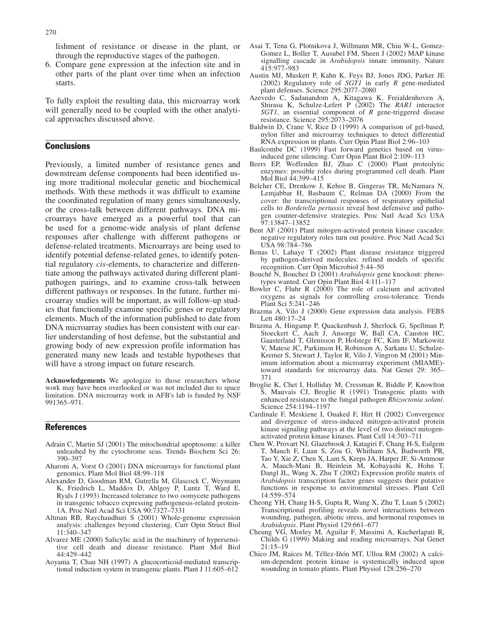lishment of resistance or disease in the plant, or through the reproductive stages of the pathogen.

6. Compare gene expression at the infection site and in other parts of the plant over time when an infection starts.

To fully exploit the resulting data, this microarray work will generally need to be coupled with the other analytical approaches discussed above.

# **Conclusions**

Previously, a limited number of resistance genes and downstream defense components had been identified using more traditional molecular genetic and biochemical methods. With these methods it was difficult to examine the coordinated regulation of many genes simultaneously, or the cross-talk between different pathways. DNA microarrays have emerged as a powerful tool that can be used for a genome-wide analysis of plant defense responses after challenge with different pathogens or defense-related treatments. Microarrays are being used to identify potential defense-related genes, to identify potential regulatory *cis*-elements, to characterize and differentiate among the pathways activated during different plantpathogen pairings, and to examine cross-talk between different pathways or responses. In the future, further microarray studies will be important, as will follow-up studies that functionally examine specific genes or regulatory elements. Much of the information published to date from DNA microarray studies has been consistent with our earlier understanding of host defense, but the substantial and growing body of new expression profile information has generated many new leads and testable hypotheses that will have a strong impact on future research.

**Acknowledgements** We apologize to those researchers whose work may have been overlooked or was not included due to space limitation. DNA microarray work in AFB's lab is funded by NSF 991365–971.

## **References**

- Adrain C, Martin SJ (2001) The mitochondrial apoptosome: a killer unleashed by the cytochrome seas. Trends Biochem Sci 26: 390–397
- Aharoni A, Vorst O (2001) DNA microarrays for functional plant genomics. Plant Mol Biol 48:99–118
- Alexander D, Goodman RM, Gutrella M, Glascock C, Weymann K, Friedrich L, Maddox D, Ahlgoy P, Luntz T, Ward E, Ryals J (1993) Increased tolerance to two oomycete pathogens in transgenic tobacco expressing pathogenesis-related protein-1A. Proc Natl Acad Sci USA 90:7327–7331
- Altman RB, Raychaudhuri S (2001) Whole-genome expression analysis: challenges beyond clustering. Curr Opin Struct Biol 11:340–347
- Alvarez ME (2000) Salicylic acid in the machinery of hypersensitive cell death and disease resistance. Plant Mol Biol 44:429–442
- Aoyama T, Chau NH (1997) A glucocorticoid-mediated transcriptional induction system in transgenic plants. Plant J 11:605–612
- Asai T, Tena G, Plotnikova J, Willmann MR, Chiu W-L, Gomez-Gomez L, Boller T, Ausubel FM, Sheen J (2002) MAP kinase signalling cascade in *Arabidopsis* innate immunity. Nature 415:977–983
- Austin MJ, Muskett P, Kahn K, Feys BJ, Jones JDG, Parker JE (2002) Regulatory role of *SGT1* in early *R* gene-mediated plant defenses. Science 295:2077–2080
- Azevedo C, Sadanandom A, Kitagawa K, Freialdenhoven A, Shirasu K, Schulze-Lefert P (2002) The *RAR1* interactor *SGT1*, an essential component of *R* gene-triggered disease resistance. Science 295:2073–2076
- Baldwin D, Crane V, Rice D (1999) A comparison of gel-based, nylon filter and microarray techniques to detect differential RNA expression in plants. Curr Opin Plant Biol 2:96–103
- Baulcombe DC (1999) Fast forward genetics based on virusinduced gene silencing. Curr Opin Plant Biol 2:109–113
- Beers EP, Woffenden BJ, Zhao C (2000) Plant proteolytic enzymes: possible roles during programmed cell death. Plant Mol Biol 44:399–415
- Belcher CE, Drenkow J, Kehoe B, Gingeras TR, McNamara N, Lemjabbar H, Basbaum C, Relman DA (2000) From the cover: the transcriptional responses of respiratory epithelial cells to *Bordetella pertussis* reveal host defensive and pathogen counter-defensive strategies. Proc Natl Acad Sci USA 97:13847–13852
- Bent AF (2001) Plant mitogen-activated protein kinase cascades: negative regulatory roles turn out positive. Proc Natl Acad Sci USA 98:784–786
- Bonas U, Lahaye T (2002) Plant disease resistance triggered by pathogen-derived molecules: refined models of specific recognition. Curr Opin Microbiol 5:44–50
- Bouché N, Bouchez D (2001) *Arabidopsis* gene knockout: phenotypes wanted. Curr Opin Plant Biol 4:111–117
- Bowler C, Fluhr R (2000) The role of calcium and activated oxygens as signals for controlling cross-tolerance. Trends Plant Sci 5:241–246
- Brazma A, Vilo J (2000) Gene expression data analysis. FEBS Lett 480:17–24
- Brazma A, Hingamp P, Quackenbush J, Sherlock G, Spellman P, Stoeckert C, Aach J, Ansorge W, Ball CA, Causton HC, Gaasterland T, Glenisson P, Holstege FC, Kim IF, Markowitz V, Matese JC, Parkinson H, Robinson A, Sarkans U, Schulze-Kremer S, Stewart J, Taylor R, Vilo J, Vingron M (2001) Minimum information about a microarray experiment (MIAME) toward standards for microarray data. Nat Genet 29: 365– 371
- Broglie K, Chet I, Holliday M, Cressman R, Biddle P, Knowlton S, Mauvais CJ, Broglie R (1991) Transgenic plants with enhanced resistance to the fungal pathogen *Rhizoctonia solani*. Science 254:1194–1197
- Cardinale F, Meskiene I, Ouaked F, Hirt H (2002) Convergence and divergence of stress-induced mitogen-activated protein kinase signaling pathways at the level of two distinct mitogenactivated protein kinase kinases. Plant Cell 14:703–711
- Chen W, Provart NJ, Glazebrook J, Katagiri F, Chang H-S, Eulgem T, Mauch F, Luan S, Zou G, Whitham SA, Budworth PR, Tao Y, Xie Z, Chen X, Lam S, Kreps JA, Harper JF, Si-Ammour A, Mauch-Mani B, Heinlein M, Kobayashi K, Hohn T, Dangl JL, Wang X, Zhu T (2002) Expression profile matrix of *Arabidopsis* transcription factor genes suggests their putative functions in response to environmental stresses. Plant Cell 14:559–574
- Cheong YH, Chang H-S, Gupta R, Wang X, Zhu T, Luan S (2002) Transcriptional profiling reveals novel interactions between wounding, pathogen, abiotic stress, and hormonal responses in *Arabidopsis*. Plant Physiol 129:661–677
- Cheung VG, Morley M, Aguilar F, Massimi A, Kucherlapati R, Childs G (1999) Making and reading microarrays. Nat Genet 21:15–19
- Chico JM, Raíces M, Téllez-Iñón MT, Ulloa RM (2002) A calcium-dependent protein kinase is systemically induced upon wounding in tomato plants. Plant Physiol 128:256–270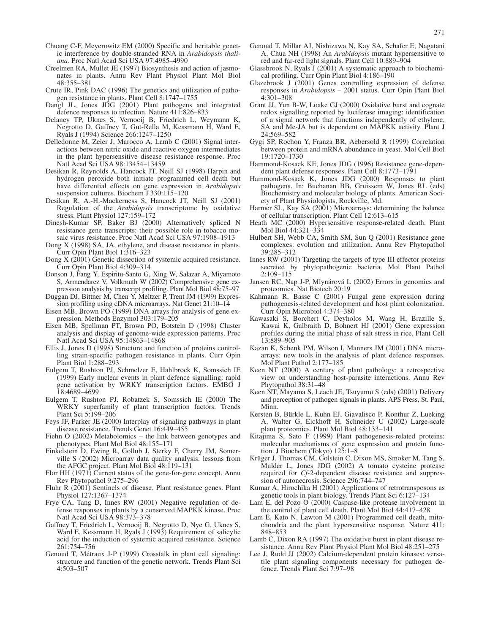- Chuang C-F, Meyerowitz EM (2000) Specific and heritable genetic interference by double-stranded RNA in *Arabidopsis thaliana*. Proc Natl Acad Sci USA 97:4985–4990
- Creelmen RA, Mullet JE (1997) Biosynthesis and action of jasmonates in plants. Annu Rev Plant Physiol Plant Mol Biol  $48.355 - 381$
- Crute IR, Pink DAC (1996) The genetics and utilization of pathogen resistance in plants. Plant Cell 8:1747–1755
- Dangl JL, Jones JDG (2001) Plant pathogens and integrated defence responses to infection. Nature 411:826–833
- Delaney TP, Uknes S, Vernooij B, Friedrich L, Weymann K, Negrotto D, Gaffney T, Gut-Rella M, Kessmann H, Ward E, Ryals J (1994) Science 266:1247–1250
- Delledonne M, Zeier J, Marocco A, Lamb C (2001) Signal interactions between nitric oxide and reactive oxygen intermediates in the plant hypersensitive disease resistance response. Proc Natl Acad Sci USA 98:13454–13459
- Desikan R, Reynolds A, Hancock JT, Neill SJ (1998) Harpin and hydrogen peroxide both initiate programmed cell death but have differential effects on gene expression in *Arabidopsis* suspension cultures. Biochem J 330:115–120
- Desikan R, A.-H.-Mackerness S, Hancock JT, Neill SJ (2001) Regulation of the *Arabidopsis* transcriptome by oxidative stress. Plant Physiol 127:159–172
- Dinesh-Kumar SP, Baker BJ (2000) Alternatively spliced N resistance gene transcripts: their possible role in tobacco mosaic virus resistance. Proc Natl Acad Sci USA 97:1908–1913
- Dong X (1998) SA, JA, ethylene, and disease resistance in plants. Curr Opin Plant Biol 1:316–323
- Dong X (2001) Genetic dissection of systemic acquired resistance. Curr Opin Plant Biol 4:309–314
- Donson J, Fang Y, Espiritu-Santo G, Xing W, Salazar A, Miyamoto S, Armendarez V, Volkmuth W (2002) Comprehensive gene expression analysis by transcript profiling. Plant Mol Biol 48:75–97
- Duggan DJ, Bittner M, Chen Y, Meltzer P, Trent JM (1999) Expression profiling using cDNA microarrays. Nat Genet 21:10–14
- Eisen MB, Brown PO (1999) DNA arrays for analysis of gene expression. Methods Enzymol 303:179–205
- Eisen MB, Spellman PT, Brown PO, Botstein D (1998) Cluster analysis and display of genome-wide expression patterns. Proc Natl Acad Sci USA 95:14863–14868
- Ellis J, Jones D (1998) Structure and function of proteins controlling strain-specific pathogen resistance in plants. Curr Opin Plant Biol 1:288–293
- Eulgem T, Rushton PJ, Schmelzer E, Hahlbrock K, Somssich IE (1999) Early nuclear events in plant defence signalling: rapid gene activation by WRKY transcription factors. EMBO J 18:4689–4699
- Eulgem T, Rushton PJ, Robatzek S, Somssich IE (2000) The WRKY superfamily of plant transcription factors. Trends Plant Sci 5:199–206
- Feys JF, Parker JE (2000) Interplay of signaling pathways in plant disease resistance. Trends Genet 16:449–455
- Fiehn O (2002) Metabolomics the link between genotypes and phenotypes. Plant Mol Biol 48:155–171
- Finkelstein D, Ewing R, Gollub J, Sterky F, Cherry JM, Somerville S (2002) Microarray data quality analysis: lessons from the AFGC project. Plant Mol Biol 48:119–131
- Flor HH (1971) Current status of the gene-for-gene concept. Annu Rev Phytopathol 9:275–296
- Fluhr R (2001) Sentinels of disease. Plant resistance genes. Plant Physiol 127:1367–1374
- Frye CA, Tang D, Innes RW (2001) Negative regulation of defense responses in plants by a conserved MAPKK kinase. Proc Natl Acad Sci USA 98:373–378
- Gaffney T, Friedrich L, Vernooij B, Negrotto D, Nye G, Uknes S, Ward E, Kessmann H, Ryals J (1993) Requirement of salicylic acid for the induction of systemic acquired resistance. Science 261:754–756
- Genoud T, Métraux J-P (1999) Crosstalk in plant cell signaling: structure and function of the genetic network. Trends Plant Sci 4:503–507
- Genoud T, Millar AJ, Nishizawa N, Kay SA, Schafer E, Nagatani A, Chua NH (1998) An *Arabidopsis* mutant hypersensitive to red and far-red light signals. Plant Cell 10:889–904
- Glassbrook N, Ryals J (2001) A systematic approach to biochemical profiling. Curr Opin Plant Biol 4:186–190
- Glazebrook J (2001) Genes controlling expression of defense responses in *Arabidopsis* – 2001 status. Curr Opin Plant Biol 4:301–308
- Grant JJ, Yun B-W, Loake GJ (2000) Oxidative burst and cognate redox signalling reported by luciferase imaging: identification of a signal network that functions independently of ethylene, SA and Me-JA but is dependent on MAPKK activity. Plant J 24:569–582
- Gygi SP, Rochon Y, Franza BR, Aebersold R (1999) Correlation between protein and mRNA abundance in yeast. Mol Cell Biol 19:1720–1730
- Hammond-Kosack KE, Jones JDG (1996) Resistance gene-dependent plant defense responses. Plant Cell 8:1773–1791
- Hammond-Kosack K, Jones JDG (2000) Responses to plant pathogens. In: Buchanan BB, Gruissem W, Jones RL (eds) Biochemistry and molecular biology of plants. American Society of Plant Physiologists, Rockville, Md.
- Harmer SL, Kay SA (2001) Microarrays: determining the balance of cellular transcription. Plant Cell 12:613–615
- Heath MC (2000) Hypersensitive response-related death. Plant Mol Biol 44:321–334
- Hulbert SH, Webb CA, Smith SM, Sun Q (2001) Resistance gene complexes: evolution and utilization. Annu Rev Phytopathol 39:285–312
- Innes RW (2001) Targeting the targets of type III effector proteins secreted by phytopathogenic bacteria. Mol Plant Pathol 2:109–115
- Jansen RC, Nap J-P, Mlynárová L (2002) Errors in genomics and proteomics. Nat Biotech 20:19
- Kahmann R, Basse C (2001) Fungal gene expression during pathogenesis-related development and host plant colonization. Curr Opin Microbiol 4:374–380
- Kawasaki S, Borchert C, Deyholos M, Wang H, Brazille S, Kawai K, Galbraith D, Bohnert HJ (2001) Gene expression profiles during the initial phase of salt stress in rice. Plant Cell 13:889–905
- Kazan K, Schenk PM, Wilson I, Manners JM (2001) DNA microarrays: new tools in the analysis of plant defence responses. Mol Plant Pathol 2:177–185
- Keen NT (2000) A century of plant pathology: a retrospective view on understanding host-parasite interactions. Annu Rev Phytopathol 38:31–48
- Keen NT, Mayama S, Leach JE, Tsuyumu S (eds) (2001) Delivery and perception of pathogen signals in plants. APS Press, St. Paul, Minn.
- Kersten B, Bürkle L, Kuhn EJ, Giavalisco P, Konthur Z, Lueking A, Walter G, Eickhoff H, Schneider U (2002) Large-scale plant proteomics. Plant Mol Biol 48:133–141
- Kitajima S, Sato F (1999) Plant pathogenesis-related proteins: molecular mechanisms of gene expression and protein function. J Biochem (Tokyo) 125:1–8
- Krüger J, Thomas CM, Golstein C, Dixon MS, Smoker M, Tang S, Mulder L, Jones JDG (2002) A tomato cysteine protease required for *Cf*-2-dependent disease resistance and suppression of autonecrosis. Science 296:744–747
- Kumar A, Hirochika H (2001) Applications of retrotransposons as genetic tools in plant biology. Trends Plant Sci 6:127–134
- Lam E, del Pozo O (2000) Caspase-like protease involvement in the control of plant cell death. Plant Mol Biol 44:417–428
- Lam E, Kato N, Lawton M (2001) Programmed cell death, mitochondria and the plant hypersensitive response. Nature 411: 848–853
- Lamb C, Dixon RA (1997) The oxidative burst in plant disease resistance. Annu Rev Plant Physiol Plant Mol Biol 48:251–275
- Lee J, Rudd JJ (2002) Calcium-dependent protein kinases: versatile plant signaling components necessary for pathogen defence. Trends Plant Sci 7:97–98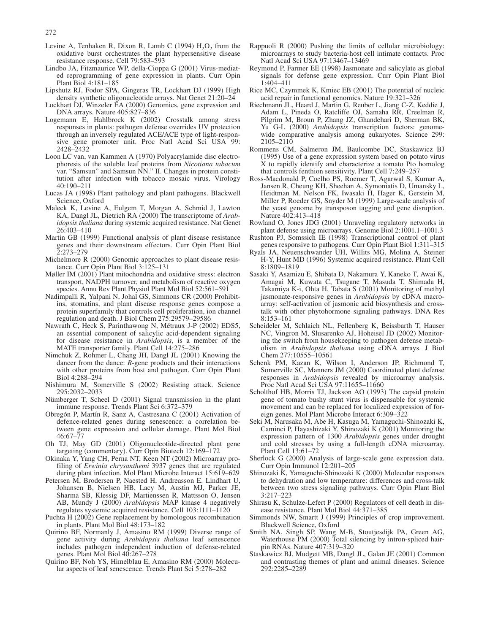- Levine A, Tenhaken R, Dixon R, Lamb C (1994)  $H_2O_2$  from the oxidative burst orchestrates the plant hypersensitive disease resistance response. Cell 79:583–593
- Lindbo JA, Fitzmaurice WP, della-Cioppa G (2001) Virus-mediated reprogramming of gene expression in plants. Curr Opin Plant Biol 4:181–185
- Lipshutz RJ, Fodor SPA, Gingeras TR, Lockhart DJ (1999) High density synthetic oligonucleotide arrays. Nat Genet 21:20–24
- Lockhart DJ, Winzeler EA (2000) Genomics, gene expression and DNA arrays. Nature 405:827–836
- Logemann E, Hahlbrock K (2002) Crosstalk among stress responses in plants: pathogen defense overrides UV protection through an inversely regulated ACE/ACE type of light-responsive gene promoter unit. Proc Natl Acad Sci USA 99: 2428–2432
- Loon LC van, van Kammen A (1970) Polyacrylamide disc electrophoresis of the soluble leaf proteins from *Nicotiana tabacum* var. "Samsun" and Samsun NN." II. Changes in protein constitution after infection with tobacco mosaic virus. Virology 40:190–211
- Lucas JA (1998) Plant pathology and plant pathogens. Blackwell Science, Oxford
- Maleck K, Levine A, Eulgem T, Morgan A, Schmid J, Lawton KA, Dangl JL, Dietrich RA (2000) The transcriptome of *Arabidopsis thaliana* during systemic acquired resistance. Nat Genet 26:403–410
- Martin GB (1999) Functional analysis of plant disease resistance genes and their downstream effectors. Curr Opin Plant Biol 2:273–279
- Michelmore R (2000) Genomic approaches to plant disease resistance. Curr Opin Plant Biol 3:125–131
- Møller IM (2001) Plant mitochondria and oxidative stress: electron transport, NADPH turnover, and metabolism of reactive oxygen species. Annu Rev Plant Physiol Plant Mol Biol 52:561–591
- Nadimpalli R, Yalpani N, Johal GS, Simmons CR (2000) Prohibitins, stomatins, and plant disease response genes compose a protein superfamily that controls cell proliferation, ion channel regulation and death. J Biol Chem 275:29579–29586
- Nawrath C, Heck S, Parinthawong N, Métraux J-P (2002) EDS5, an essential component of salicylic acid-dependent signaling for disease resistance in *Arabidopsis*, is a member of the MATE transporter family. Plant Cell 14:275–286
- Nimchuk Z, Rohmer L, Chang JH, Dangl JL (2001) Knowing the dancer from the dance: *R*-gene products and their interactions with other proteins from host and pathogen. Curr Opin Plant Biol 4:288–294
- Nishimura M, Somerville S (2002) Resisting attack. Science 295:2032–2033
- Nümberger T, Scheel D (2001) Signal transmission in the plant immune response. Trends Plant Sci 6:372–379
- Obregón P, Martín R, Sanz A, Castresana C (2001) Activation of defence-related genes during senescence: a correlation between gene expression and cellular damage. Plant Mol Biol 46:67–77
- Oh TJ, May GD (2001) Oligonucleotide-directed plant gene targeting (commentary). Curr Opin Biotech 12:169–172
- Okinaka Y, Yang CH, Perna NT, Keen NT (2002) Microarray profiling of *Erwinia chrysanthemi* 3937 genes that are regulated during plant infection. Mol Plant Microbe Interact 15:619–629
- Petersen M, Brodersen P, Naested H, Andreasson E. Lindhart U, Johansen B, Nielsen HB, Lacy M, Austin MJ, Parker JE, Sharma SB, Klessig DF, Martienssen R, Mattsson O, Jensen AB, Mundy J (2000) *Arabidopsis* MAP kinase 4 negatively regulates systemic acquired resistance. Cell 103:1111–1120
- Puchta H (2002) Gene replacement by homologous recombination in plants. Plant Mol Biol 48:173–182
- Quirino BF, Normanly J, Amasino RM (1999) Diverse range of gene activity during *Arabidopsis thaliana* leaf senescence includes pathogen independent induction of defense-related genes. Plant Mol Biol 40:267–278
- Quirino BF, Noh YS, Himelblau E, Amasino RM (2000) Molecular aspects of leaf senescence. Trends Plant Sci 5:278–282
- Rappuoli R (2000) Pushing the limits of cellular microbiology: microarrays to study bacteria-host cell intimate contacts. Proc Natl Acad Sci USA 97:13467–13469
- Reymond P, Farmer EE (1998) Jasmonate and salicylate as global signals for defense gene expression. Curr Opin Plant Biol  $1.404 - 411$
- Rice MC, Czymmek K, Kmiec EB (2001) The potential of nucleic acid repair in functional genomics. Nature 19:321–326
- Riechmann JL, Heard J, Martin G, Reuber L, Jiang C-Z, Keddie J, Adam L, Pineda O, Ratcliffe OJ, Samaha RR, Creelman R, Pilgrim M, Broun P, Zhang JZ, Ghandehari D, Sherman BK, Yu G-L (2000) *Arabidopsis* transcription factors: genomewide comparative analysis among eukaryotes. Science 299: 2105–2110
- Rommens CM, Salmeron JM, Baulcombe DC, Staskawicz BJ (1995) Use of a gene expression system based on potato virus X to rapidly identify and characterize a tomato Pto homolog that controls fenthion sensitivity. Plant Cell 7:249–257
- Ross-Macdonald P, Coelho PS, Roemer T, Agarwal S, Kumar A, Jansen R, Cheung KH, Sheehan A, Symoniatis D, Umansky L, Heidtman M, Nelson FK, Iwasaki H, Hager K, Gerstein M, Miller P, Roeder GS, Snyder M (1999) Large-scale analysis of the yeast genome by transposon tagging and gene disruption. Nature 402:413–418
- Rowland O, Jones JDG (2001) Unraveling regulatory networks in plant defense using microarrays. Genome Biol 2:1001.1–1001.3
- Rushton PJ, Somssich IE (1998) Transcriptional control of plant genes responsive to pathogens. Curr Opin Plant Biol 1:311–315
- Ryals JA, Neuenschwander UH, Willits MG, Molina A, Steiner H-Y, Hunt MD (1996) Systemic acquired resistance. Plant Cell 8:1809–1819
- Sasaki Y, Asamizu E, Shibata D, Nakamura Y, Kaneko T, Awai K, Amagai M, Kuwata C, Tsugane T, Masuda T, Shimada H, Takamiya K-i, Ohta H, Tabata S (2001) Monitoring of methyl jasmonate-responsive genes in *Arabidopsis* by cDNA macroarray: self-activation of jasmonic acid biosynthesis and crosstalk with other phytohormone signaling pathways. DNA Res 8:153–161
- Scheideler M, Schlaich NL, Fellenberg K, Beissbarth T, Hauser NC, Vingron M, Slusarenko AJ, Hoheisel JD (2002) Monitoring the switch from housekeeping to pathogen defense metabolism in *Arabidopsis thaliana* using cDNA arrays. J Biol Chem 277:10555–10561
- Schenk PM, Kazan K, Wilson I, Anderson JP, Richmond T, Somerville SC, Manners JM (2000) Coordinated plant defense responses in *Arabidopsis* revealed by microarray analysis. Proc Natl Acad Sci USA 97:11655–11660
- Scholthof HB, Morris TJ, Jackson AO (1993) The capsid protein gene of tomato bushy stunt virus is dispensable for systemic movement and can be replaced for localized expression of foreign genes. Mol Plant Microbe Interact 6:309–322
- Seki M, Narusaka M, Abe H, Kasuga M, Yamaguchi-Shinozaki K, Caminci P, Hayashizaki Y, Shinozaki K (2001) Monitoring the expression pattern of 1300 *Arabidopsis* genes under drought and cold stresses by using a full-length cDNA microarray. Plant Cell 13:61–72
- Sherlock G (2000) Analysis of large-scale gene expression data. Curr Opin Immunol 12:201–205
- Shinozaki K, Yamaguchi-Shinozaki K (2000) Molecular responses to dehydration and low temperature: differences and cross-talk between two stress signaling pathways. Curr Opin Plant Biol 3:217–223
- Shirasu K, Schulze-Lefert P (2000) Regulators of cell death in disease resistance. Plant Mol Biol 44:371–385
- Simmonds NW, Smartt J (1999) Principles of crop improvement. Blackwell Science, Oxford
- Smith NA, Singh SP, Wang M-B, Stoutjesdijk PA, Green AG, Waterhouse PM (2000) Total silencing by intron-spliced hairpin RNAs. Nature 407:319–320
- Staskawicz BJ, Mudgett MB, Dangl JL, Galan JE (2001) Common and contrasting themes of plant and animal diseases. Science 292:2285–2289